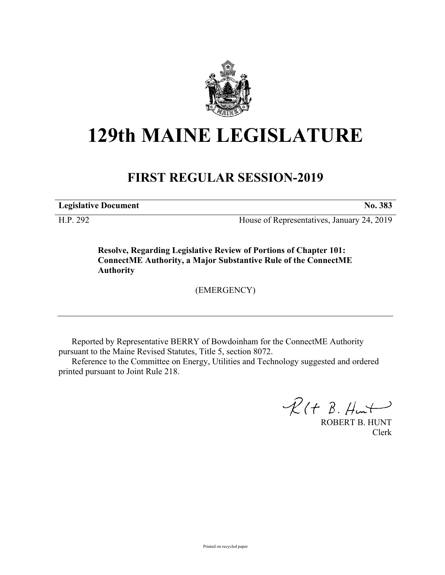

## **129th MAINE LEGISLATURE**

## **FIRST REGULAR SESSION-2019**

**Legislative Document No. 383**

H.P. 292 House of Representatives, January 24, 2019

**Resolve, Regarding Legislative Review of Portions of Chapter 101: ConnectME Authority, a Major Substantive Rule of the ConnectME Authority**

(EMERGENCY)

Reported by Representative BERRY of Bowdoinham for the ConnectME Authority pursuant to the Maine Revised Statutes, Title 5, section 8072.

Reference to the Committee on Energy, Utilities and Technology suggested and ordered printed pursuant to Joint Rule 218.

 $R(H B. H<sub>ur</sub>)$ 

ROBERT B. HUNT Clerk